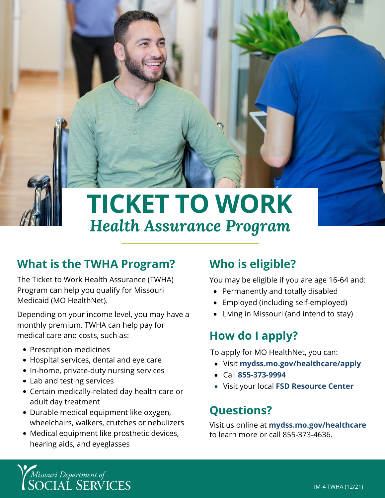

# **What is the TWHA Program?**

The Ticket to Work Health Assurance (TWHA) Program can help you qualify for Missouri Medicaid (MO HealthNet).

Depending on your income level, you may have a monthly premium. TWHA can help pay for medical care and costs, such as:

- Prescription medicines
- Hospital services, dental and eye care
- In-home, private-duty nursing services
- Lab and testing services
- Certain medically-related day health care or adult day treatment
- Durable medical equipment like oxygen, wheelchairs, walkers, crutches or nebulizers
- Medical equipment like prosthetic devices, hearing aids, and eyeglasses

## **Who is eligible?**

You may be eligible if you are age 16-64 and:

- Permanently and totally disabled
- $\bullet$ Employed (including self-employed)
- Living in Missouri (and intend to stay)

## **How do I apply?**

To apply for MO HealthNet, you can:

- Visit **[mydss.mo.gov/healthcare/apply](https://mydss.mo.gov/healthcare/apply)**
- Call **[855-373-9994](tel:855-373-9994)**
- Visit your local **[FSD Resource Center](https://dss.mo.gov/dss_map/)**

### **Questions?**

Visit us online at **[mydss.mo.gov/healthcare](https://mydss.mo.gov/healthcare)** to learn more or call 855-373-4636.